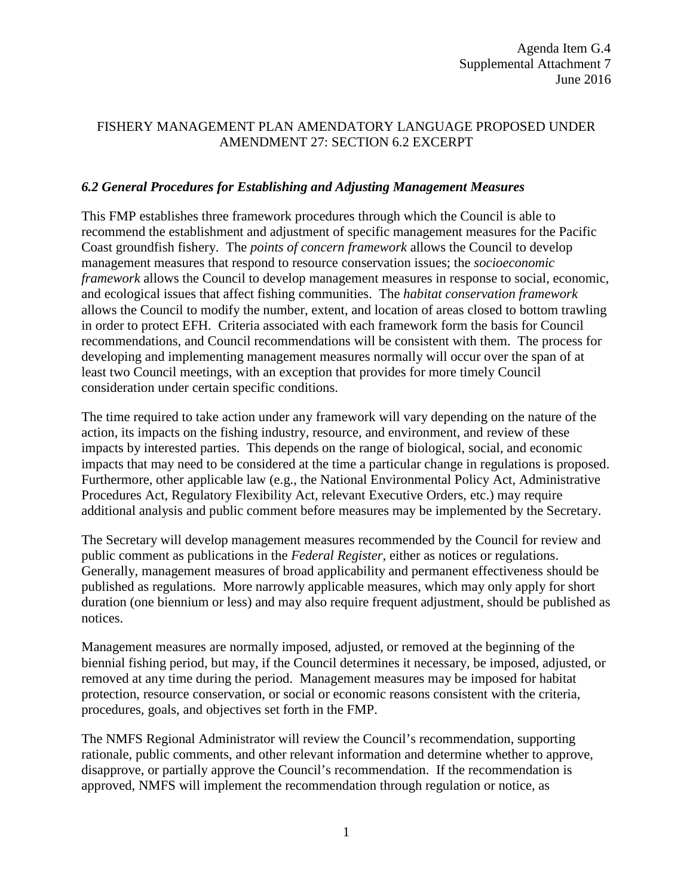## FISHERY MANAGEMENT PLAN AMENDATORY LANGUAGE PROPOSED UNDER AMENDMENT 27: SECTION 6.2 EXCERPT

## *6.2 General Procedures for Establishing and Adjusting Management Measures*

This FMP establishes three framework procedures through which the Council is able to recommend the establishment and adjustment of specific management measures for the Pacific Coast groundfish fishery. The *points of concern framework* allows the Council to develop management measures that respond to resource conservation issues; the *socioeconomic framework* allows the Council to develop management measures in response to social, economic, and ecological issues that affect fishing communities. The *habitat conservation framework* allows the Council to modify the number, extent, and location of areas closed to bottom trawling in order to protect EFH. Criteria associated with each framework form the basis for Council recommendations, and Council recommendations will be consistent with them. The process for developing and implementing management measures normally will occur over the span of at least two Council meetings, with an exception that provides for more timely Council consideration under certain specific conditions.

The time required to take action under any framework will vary depending on the nature of the action, its impacts on the fishing industry, resource, and environment, and review of these impacts by interested parties. This depends on the range of biological, social, and economic impacts that may need to be considered at the time a particular change in regulations is proposed. Furthermore, other applicable law (e.g., the National Environmental Policy Act, Administrative Procedures Act, Regulatory Flexibility Act, relevant Executive Orders, etc.) may require additional analysis and public comment before measures may be implemented by the Secretary.

The Secretary will develop management measures recommended by the Council for review and public comment as publications in the *Federal Register,* either as notices or regulations. Generally, management measures of broad applicability and permanent effectiveness should be published as regulations. More narrowly applicable measures, which may only apply for short duration (one biennium or less) and may also require frequent adjustment, should be published as notices.

Management measures are normally imposed, adjusted, or removed at the beginning of the biennial fishing period, but may, if the Council determines it necessary, be imposed, adjusted, or removed at any time during the period. Management measures may be imposed for habitat protection, resource conservation, or social or economic reasons consistent with the criteria, procedures, goals, and objectives set forth in the FMP.

The NMFS Regional Administrator will review the Council's recommendation, supporting rationale, public comments, and other relevant information and determine whether to approve, disapprove, or partially approve the Council's recommendation. If the recommendation is approved, NMFS will implement the recommendation through regulation or notice, as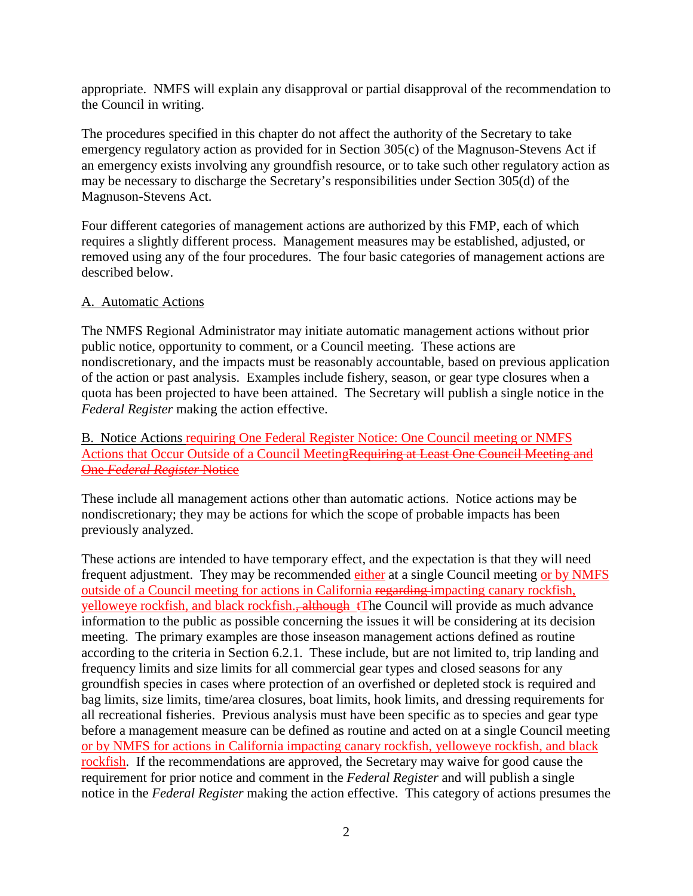appropriate. NMFS will explain any disapproval or partial disapproval of the recommendation to the Council in writing.

The procedures specified in this chapter do not affect the authority of the Secretary to take emergency regulatory action as provided for in Section 305(c) of the Magnuson-Stevens Act if an emergency exists involving any groundfish resource, or to take such other regulatory action as may be necessary to discharge the Secretary's responsibilities under Section 305(d) of the Magnuson-Stevens Act.

Four different categories of management actions are authorized by this FMP, each of which requires a slightly different process. Management measures may be established, adjusted, or removed using any of the four procedures. The four basic categories of management actions are described below.

## A. Automatic Actions

The NMFS Regional Administrator may initiate automatic management actions without prior public notice, opportunity to comment, or a Council meeting. These actions are nondiscretionary, and the impacts must be reasonably accountable, based on previous application of the action or past analysis. Examples include fishery, season, or gear type closures when a quota has been projected to have been attained. The Secretary will publish a single notice in the *Federal Register* making the action effective.

B. Notice Actions requiring One Federal Register Notice: One Council meeting or NMFS Actions that Occur Outside of a Council MeetingRequiring at Least One Council Meeting and One *Federal Register* Notice

These include all management actions other than automatic actions. Notice actions may be nondiscretionary; they may be actions for which the scope of probable impacts has been previously analyzed.

These actions are intended to have temporary effect, and the expectation is that they will need frequent adjustment. They may be recommended either at a single Council meeting or by NMFS outside of a Council meeting for actions in California regarding impacting canary rockfish, yelloweye rockfish, and black rockfish.<del>, although</del> tThe Council will provide as much advance information to the public as possible concerning the issues it will be considering at its decision meeting. The primary examples are those inseason management actions defined as routine according to the criteria in Section 6.2.1. These include, but are not limited to, trip landing and frequency limits and size limits for all commercial gear types and closed seasons for any groundfish species in cases where protection of an overfished or depleted stock is required and bag limits, size limits, time/area closures, boat limits, hook limits, and dressing requirements for all recreational fisheries. Previous analysis must have been specific as to species and gear type before a management measure can be defined as routine and acted on at a single Council meeting or by NMFS for actions in California impacting canary rockfish, yelloweye rockfish, and black rockfish. If the recommendations are approved, the Secretary may waive for good cause the requirement for prior notice and comment in the *Federal Register* and will publish a single notice in the *Federal Register* making the action effective. This category of actions presumes the